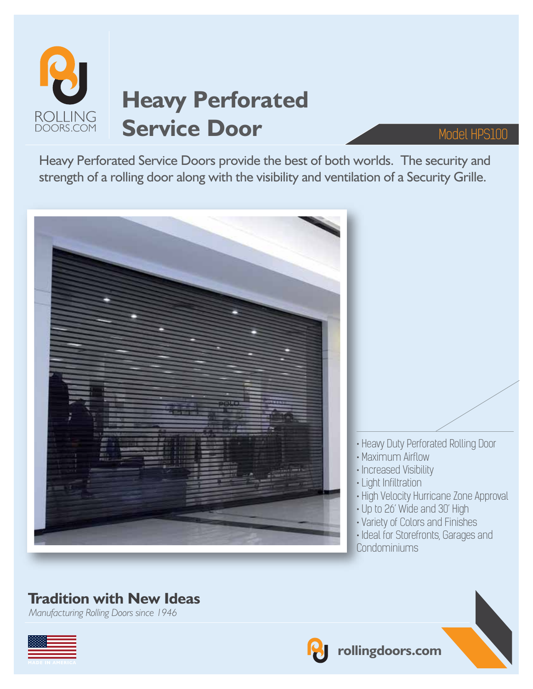

Heavy Perforated Service Doors provide the best of both worlds. The security and strength of a rolling door along with the visibility and ventilation of a Security Grille.



## **Tradition with New Ideas**

*Manufacturing Rolling Doors since 1946*



**rollingdoors.com**